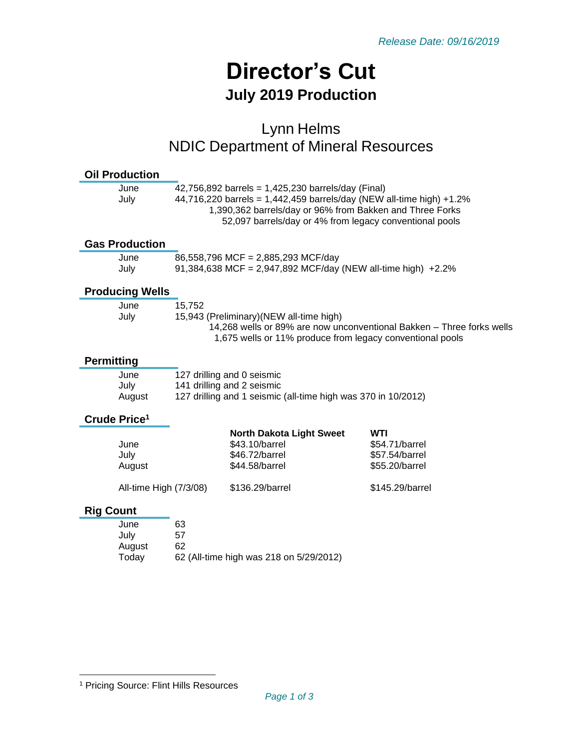# **Director's Cut July 2019 Production**

## Lynn Helms NDIC Department of Mineral Resources

| <b>Oil Production</b>    |                        |                                                                      |                                                                       |  |
|--------------------------|------------------------|----------------------------------------------------------------------|-----------------------------------------------------------------------|--|
| June                     |                        | 42,756,892 barrels = 1,425,230 barrels/day (Final)                   |                                                                       |  |
| July                     |                        | 44,716,220 barrels = 1,442,459 barrels/day (NEW all-time high) +1.2% |                                                                       |  |
|                          |                        | 1,390,362 barrels/day or 96% from Bakken and Three Forks             |                                                                       |  |
|                          |                        | 52,097 barrels/day or 4% from legacy conventional pools              |                                                                       |  |
| <b>Gas Production</b>    |                        |                                                                      |                                                                       |  |
| June                     |                        | 86,558,796 MCF = 2,885,293 MCF/day                                   |                                                                       |  |
| July                     |                        | 91,384,638 MCF = 2,947,892 MCF/day (NEW all-time high) $+2.2\%$      |                                                                       |  |
| <b>Producing Wells</b>   |                        |                                                                      |                                                                       |  |
| June                     | 15,752                 |                                                                      |                                                                       |  |
| July                     |                        | 15,943 (Preliminary) (NEW all-time high)                             |                                                                       |  |
|                          |                        |                                                                      | 14,268 wells or 89% are now unconventional Bakken - Three forks wells |  |
|                          |                        | 1,675 wells or 11% produce from legacy conventional pools            |                                                                       |  |
| <b>Permitting</b>        |                        |                                                                      |                                                                       |  |
| June                     |                        | 127 drilling and 0 seismic                                           |                                                                       |  |
| July                     |                        | 141 drilling and 2 seismic                                           |                                                                       |  |
| August                   |                        | 127 drilling and 1 seismic (all-time high was 370 in 10/2012)        |                                                                       |  |
| Crude Price <sup>1</sup> |                        |                                                                      |                                                                       |  |
|                          |                        | <b>North Dakota Light Sweet</b>                                      | <b>WTI</b>                                                            |  |
| June                     |                        | \$43.10/barrel                                                       | \$54.71/barrel                                                        |  |
| July                     |                        | \$46.72/barrel                                                       | \$57.54/barrel                                                        |  |
| August                   |                        | \$44.58/barrel                                                       | \$55.20/barrel                                                        |  |
|                          | All-time High (7/3/08) | \$136.29/barrel                                                      | \$145.29/barrel                                                       |  |
| <b>Rig Count</b>         |                        |                                                                      |                                                                       |  |
| June                     | 63                     |                                                                      |                                                                       |  |
| July                     | 57                     |                                                                      |                                                                       |  |
| August                   | 62                     |                                                                      |                                                                       |  |
| Today                    |                        | 62 (All-time high was 218 on 5/29/2012)                              |                                                                       |  |

<sup>1</sup> Pricing Source: Flint Hills Resources